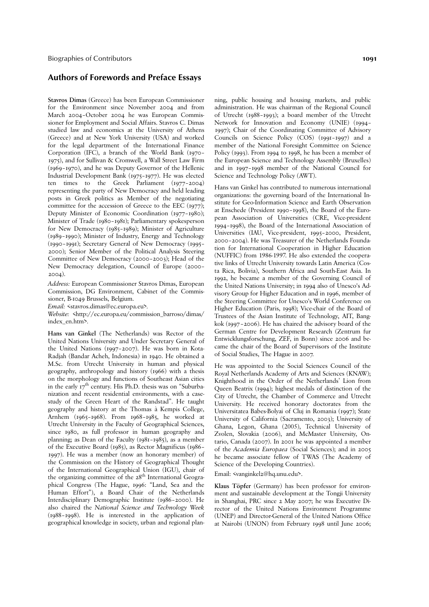## **Authors of Forewords and Preface Essays**

**Stavros Dimas** (Greece) has been European Commissioner for the Environment since November 2004 and from March 2004–October 2004 he was European Commissioner for Employment and Social Affairs. Stavros C. Dimas studied law and economics at the University of Athens (Greece) and at New York University (USA) and worked for the legal department of the International Finance Corporation (IFC), a branch of the World Bank (1970– 1975), and for Sullivan & Cromwell, a Wall Street Law Firm (1969–1970), and he was Deputy Governor of the Hellenic Industrial Development Bank (1975–1977). He was elected ten times to the Greek Parliament (1977–2004) representing the party of New Democracy and held leading posts in Greek politics as Member of the negotiating committee for the accession of Greece to the EEC (1977); Deputy Minister of Economic Coordination (1977–1980); Minister of Trade (1980–1981); Parliamentary spokesperson for New Democracy (1985–1989); Minister of Agriculture (1989–1990); Minister of Industry, Energy and Technology (1990–1991); Secretary General of New Democracy (1995– 2000); Senior Member of the Political Analysis Steering Committee of New Democracy (2000–2003); Head of the New Democracy delegation, Council of Europe (2000– 2004).

*Address:* European Commissioner Stavros Dimas, European Commission, DG Environment, Cabinet of the Commissioner, B-1049 Brussels, Belgium.

*Email:* <stavros.dimas@ec.europa.eu>*.*

*Website:* <http://ec.europa.eu/commission\_barroso/dimas/ index\_en.htm>*.*

**Hans van Ginkel** (The Netherlands) was Rector of the United Nations University and Under Secretary General of the United Nations (1997–2007). He was born in Kota-Radjah (Bandar Acheh, Indonesia) in 1940. He obtained a M.Sc. from Utrecht University in human and physical geography, anthropology and history (1966) with a thesis on the morphology and functions of Southeast Asian cities in the early  $17<sup>th</sup>$  century. His Ph.D. thesis was on "Suburbanization and recent residential environments, with a casestudy of the Green Heart of the Randstad". He taught geography and history at the Thomas à Kempis College, Arnhem (1965–1968). From 1968–1985, he worked at Utrecht University in the Faculty of Geographical Sciences, since 1980, as full professor in human geography and planning; as Dean of the Faculty (1981–1985), as a member of the Executive Board (1985), as Rector Magnificus (1986– 1997). He was a member (now an honorary member) of the Commission on the History of Geographical Thought of the International Geographical Union (IGU), chair of the organizing committee of the 28<sup>th</sup> International Geographical Congress (The Hague, 1996: "Land, Sea and the Human Effort"), a Board Chair of the Netherlands Interdisciplinary Demographic Institute (1986–2000). He also chaired the *National Science and Technology Week* (1988–1998). He is interested in the application of geographical knowledge in society, urban and regional planning, public housing and housing markets, and public administration. He was chairman of the Regional Council of Utrecht (1988–1993); a board member of the Utrecht Network for Innovation and Economy (UNIE) (1994– 1997); Chair of the Coordinating Committee of Advisory Councils on Science Policy (COS) (1991–1997) and a member of the National Foresight Committee on Science Policy (1993). From 1994 to 1998, he has been a member of the European Science and Technology Assembly (Bruxelles) and in 1997–1998 member of the National Council for Science and Technology Policy (AWT).

Hans van Ginkel has contributed to numerous international organizations: the governing board of the International Institute for Geo-Information Science and Earth Observation at Enschede (President 1990–1998), the Board of the European Association of Universities (CRE, Vice-president 1994–1998), the Board of the International Association of Universities (IAU, Vice-president, 1995–2000, President, 2000–2004). He was Treasurer of the Netherlands Foundation for International Cooperation in Higher Education (NUFFIC) from 1986-1997. He also extended the cooperative links of Utrecht University towards Latin America (Costa Rica, Bolivia), Southern Africa and South-East Asia. In 1992, he became a member of the Governing Council of the United Nations University; in 1994 also of Unesco's Advisory Group for Higher Education and in 1996, member of the Steering Committee for Unesco's World Conference on Higher Education (Paris, 1998); Vice-chair of the Board of Trustees of the Asian Institute of Technology, AIT, Bangkok (1997 –2006). He has chaired the advisory board of the German Centre for Development Research (Zentrum fur Entwicklungsforschung, ZEF, in Bonn) since 2006 and became the chair of the Board of Supervisors of the Institute of Social Studies, The Hague in 2007.

He was appointed to the Social Sciences Council of the Royal Netherlands Academy of Arts and Sciences (KNAW); Knighthood in the Order of the Netherlands' Lion from Queen Beatrix (1994); highest medals of distinction of the City of Utrecht, the Chamber of Commerce and Utrecht University. He received honorary doctorates from the Universitatea Babes-Bolyai of Cluj in Romania (1997); State University of California (Sacramento, 2003); University of Ghana, Legon, Ghana (2005), Technical University of Zvolen, Slovakia (2006), and McMaster University, Ontario, Canada (2007). In 2001 he was appointed a member of the *Academia Europaea* (Social Sciences); and in 2005 he became associate fellow of TWAS (The Academy of Science of the Developing Countries).

Email: <vanginkel2@hq.unu.edu>.

**Klaus Töpfer** (Germany) has been professor for environment and sustainable development at the Tongji University in Shanghai, PRC since 2 May 2007; he was Executive Director of the United Nations Environment Programme (UNEP) and Director-General of the United Nations Office at Nairobi (UNON) from February 1998 until June 2006;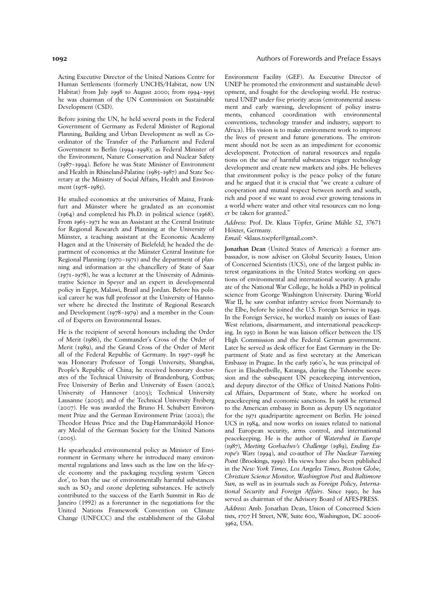Acting Executive Director of the United Nations Centre for Human Settlements (formerly UNCHS/Habitat, now UN Habitat) from July 1998 to August 2000; from 1994–1995 he was chairman of the UN Commission on Sustainable Development (CSD).

Before joining the UN, he held several posts in the Federal Government of Germany as Federal Minister of Regional Planning, Building and Urban Development as well as Coordinator of the Transfer of the Parliament and Federal Government to Berlin (1994–1998); as Federal Minister of the Environment, Nature Conservation and Nuclear Safety (1987–1994). Before he was State Minister of Environment and Health in Rhineland-Palatine (1985–1987) and State Secretary at the Ministry of Social Affairs, Health and Environment (1978–1985).

He studied economics at the universities of Mainz, Frankfurt and Münster where he gradated as an economist (1964) and completed his Ph.D. in political science (1968). From 1965–1971 he was an Assistant at the Central Institute for Regional Research and Planning at the University of Münster, a teaching assistant at the Economic Academy Hagen and at the University of Bielefeld; he headed the department of economics at the Münster Central Institute for Regional Planning (1970–1971) and the department of planning and information at the chancellery of State of Saar (1971–1978), he was a lecturer at the University of Administrative Science in Speyer and an expert in developmental policy in Egypt, Malawi, Brazil and Jordan. Before his political career he was full professor at the University of Hannover where he directed the Institute of Regional Research and Development (1978–1979) and a member in the Council of Experts on Environmental Issues.

He is the recipient of several honours including the Order of Merit (1986), the Commander's Cross of the Order of Merit (1989), and the Grand Cross of the Order of Merit all of the Federal Republic of Germany. In 1997–1998 he was Honorary Professor of Tongji University, Shanghai, People's Republic of China; he received honorary doctorates of the Technical University of Brandenburg, Cottbus; Free University of Berlin and University of Essen (2002); University of Hannover (2003); Technical University Lausanne (2005); and of the Technical University Freiberg (2007). He was awarded the Bruno H. Schubert Environment Prize and the German Environment Prize (2002); the Theodor Heuss Price and the Dag-Hammarskjöld Honorary Medal of the German Society for the United Nations  $(2005).$ 

He spearheaded environmental policy as Minister of Environment in Germany where he introduced many environmental regulations and laws such as the law on the life-cycle economy and the packaging recycling system 'Green dot', to ban the use of environmentally harmful substances such as  $SO_2$  and ozone depleting substances. He actively contributed to the success of the Earth Summit in Rio de Janeiro (1992) as a forerunner in the negotiations for the United Nations Framework Convention on Climate Change (UNFCCC) and the establishment of the Global

Environment Facility (GEF). As Executive Director of UNEP he promoted the environment and sustainable development, and fought for the developing world. He restructured UNEP under five priority areas (environmental assessment and early warning, development of policy instruments, enhanced coordination with environmental conventions, technology transfer and industry, support to Africa). His vision is to make environment work to improve the lives of present and future generations. The environment should not be seen as an impediment for economic development. Protection of natural resources and regulations on the use of harmful substances trigger technology development and create new markets and jobs. He believes that environment policy is the peace policy of the future and he argued that it is crucial that "we create a culture of cooperation and mutual respect between north and south, rich and poor if we want to avoid ever growing tensions in a world where water and other vital resources can no longer be taken for granted."

*Address:* Prof. Dr. Klaus Töpfer, Grüne Mühle 52, 37671 Höxter, Germany.

*Email: <*klaus.toepfer@gmail.com>.

**Jonathan Dean** (United States of America): a former ambassador, is now adviser on Global Security Issues, Union of Concerned Scientists (UCS), one of the largest public interest organizations in the United States working on questions of environmental and international security. A graduate of the National War College, he holds a PhD in political science from George Washington University. During World War II, he saw combat infantry service from Normandy to the Elbe, before he joined the U.S. Foreign Service in 1949. In the Foreign Service, he worked mainly on issues of East-West relations, disarmament, and international peacekeeping. In 1950 in Bonn he was liaison officer between the US High Commission and the Federal German government. Later he served as desk officer for East Germany in the Department of State and as first secretary at the American Embassy in Prague. In the early 1960's, he was principal officer in Elisabethville, Katanga, during the Tshombe secession and the subsequent UN peacekeeping intervention, and deputy director of the Office of United Nations Political Affairs, Department of State, where he worked on peacekeeping and economic sanctions. In 1968 he returned to the American embassy in Bonn as deputy US negotiator for the 1971 quadripartite agreement on Berlin. He joined UCS in 1984, and now works on issues related to national and European security, arms control, and international peacekeeping. He is the author of *Watershed in Europe* (1987), *Meeting Gorbachev's Challenge* (1989), *Ending Europe's Wars* (1994), and co-author of *The Nuclear Turning Point* (Brookings, 1999). His views have also been published in the *New York Times, Los Angeles Times, Boston Globe, Christian Science Monitor, Washington Post* and *Baltimore Sun,* as well as in journals such as *Foreign Policy, International Security* and *Foreign Affairs*. Since 1990, he has served as chairman of the Advisory Board of AFES-PRESS.

*Address***:** Amb. Jonathan Dean, Union of Concerned Scientists, 1707 H Street, NW, Suite 600, Washington, DC 20006- 3962, USA.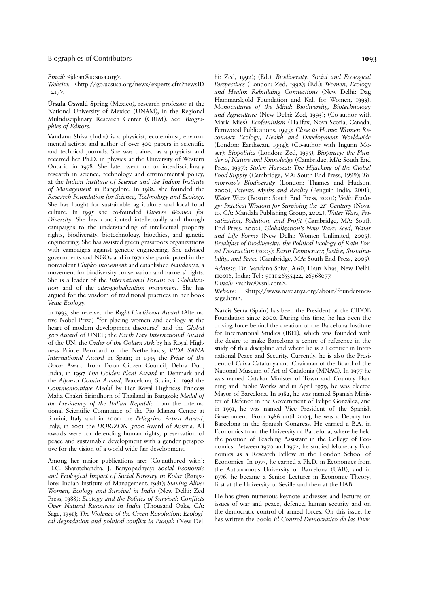*Email:* <jdean@ucsusa.org>.

*Website:* <http://go.ucsusa.org/news/experts.cfm?newsID  $=217$ 

**Úrsula Oswald Spring** (Mexico), research professor at the National University of Mexico (UNAM), in the Regional Multidisciplinary Research Center (CRIM). See: *Biographies of Editors*.

**Vandana Shiva** (India) is a physicist, ecofeminist, environmental activist and author of over 300 papers in scientific and technical journals. She was trained as a physicist and received her Ph.D. in physics at the University of Western Ontario in 1978. She later went on to interdisciplinary research in science, technology and environmental policy, at the *Indian Institute of Science and the Indian Institute of Management* in Bangalore. In 1982, she founded the *Research Foundation for Science, Technology and Ecology*. She has fought for sustainable agriculture and local food culture. In 1995 she co-founded *Diverse Women for Diversity*. She has contributed intellectually and through campaigns to the understanding of intellectual property rights, biodiversity, biotechnology, bioethics, and genetic engineering. She has assisted green grassroots organizations with campaigns against genetic engineering. She advised governments and NGOs and in 1970 she participated in the nonviolent *Chipko movement* and established *Navdanya*, a movement for biodiversity conservation and farmers' rights. She is a leader of the *International Forum on Globalization* and of the *alter-globalization movement*. She has argued for the wisdom of traditional practices in her book *Vedic Ecology*.

In 1993, she received the *Right Livelihood Award* (Alternative Nobel Prize) "for placing women and ecology at the heart of modern development discourse" and the *Global* <sup>500</sup> *Award* of UNEP; the *Earth Day International Award* of the UN; the *Order of the Golden Ark* by his Royal Highness Prince Bernhard of the Netherlands; *VIDA SANA International Award* in Spain; in 1995 the *Pride of the Doon* Award from Doon Citizen Council, Dehra Dun, India; in 1997 *The Golden Plant Award* in Denmark and the *Alfonso Comin Award*, Barcelona, Spain; in 1998 the *Commemorative Medal* by Her Royal Highness Princess Maha Chakri Sirindhorn of Thailand in Bangkok; *Medal of the Presidency of the Italian Republic* from the International Scientific Committee of the Pio Manzu Centre at Rimini, Italy and in 2000 the *Pellegrino Artusi Award*, Italy; in 2001 the *HORIZON* 3000 Award of Austria. All awards were for defending human rights, preservation of peace and sustainable development with a gender perspective for the vision of a world wide fair development.

Among her major publications are: (Co-authored with): H.C. Sharatchandra, J. Banyopadhyay: *Social Economic and Ecological Impact of Social Forestry in Kolar* (Bangalore: Indian Institute of Management, 1981); *Staying Alive: Women, Ecology and Survival in India* (New Delhi: Zed Press, 1988); *Ecology and the Politics of Survival: Conflicts Over Natural Resources in India* (Thousand Oaks, CA: Sage, 1991); *The Violence of the Green Revolution: Ecological degradation and political conflict in Punjab* (New Del-

hi: Zed, 1992); (Ed.): *Biodiversity: Social and Ecological Perspectives* (London: Zed, 1992); (Ed.): *Women, Ecology and Health: Rebuilding Connections* (New Delhi: Dag Hammarskjöld Foundation and Kali for Women, 1993); *Monocultures of the Mind: Biodiversity, Biotechnology and Agriculture* (New Delhi: Zed, 1993); (Co-author with Maria Mies): *Ecofeminism* (Halifax, Nova Scotia, Canada, Fernwood Publications, 1993); *Close to Home: Women Reconnect Ecology, Health and Development Worldwide* (London: Earthscan, 1994); (Co-author with Ingunn Moser): *Biopolitics* (London: Zed, 1995); *Biopiracy: the Plunder of Nature and Knowledge* (Cambridge, MA: South End Press, 1997); *Stolen Harvest: The Hijacking of the Global Food Supply* (Cambridge, MA: South End Press, 1999); *Tomorrow's Biodiversity* (London: Thames and Hudson, 2000); *Patents, Myths and Reality* (Penguin India, 2001); *Water Wars* (Boston: South End Press, 2001); *Vedic Ecology: Practical Wisdom for Surviving the* 21*st Century* (Novato, CA: Mandala Publishing Group, 2002); *Water Wars; Privatization, Pollution, and Profit* (Cambridge, MA: South End Press, 2002); *Globalization's New Wars: Seed, Water and Life Forms* (New Delhi: Women Unlimited, 2005); *Breakfast of Biodiversity: the Political Ecology of Rain Forest Destruction* (2005); *Earth Democracy; Justice, Sustainability, and Peace* (Cambridge, MA: South End Press, 2005).

*Address:* Dr. Vandana Shiva, A-60, Hauz Khas, New Delhi-110016, India; Tel.: 91-11-26535422, 26968077.

*E-mail:* <vshiva@vsnl.com>.

*Website:* <http://www.navdanya.org/about/founder-message.htm>.

**Narcís Serra** (Spain) has been the President of the CIDOB Foundation since 2000. During this time, he has been the driving force behind the creation of the Barcelona Institute for International Studies (IBEI), which was founded with the desire to make Barcelona a centre of reference in the study of this discipline and where he is a Lecturer in International Peace and Security. Currently, he is also the President of Caixa Catalunya and Chairman of the Board of the National Museum of Art of Catalonia (MNAC). In 1977 he was named Catalan Minister of Town and Country Planning and Public Works and in April 1979, he was elected Mayor of Barcelona. In 1982, he was named Spanish Minister of Defence in the Government of Felipe González, and in 1991, he was named Vice President of the Spanish Government. From 1986 until 2004, he was a Deputy for Barcelona in the Spanish Congress. He earned a B.A. in Economics from the University of Barcelona, where he held the position of Teaching Assistant in the College of Economics. Between 1970 and 1972, he studied Monetary Economics as a Research Fellow at the London School of Economics. In 1973, he earned a Ph.D. in Economics from the Autonomous University of Barcelona (UAB), and in 1976, he became a Senior Lecturer in Economic Theory, first at the University of Seville and then at the UAB.

He has given numerous keynote addresses and lectures on issues of war and peace, defence, human security and on the democratic control of armed forces. On this issue, he has written the book: *El Control Democrático de las Fuer-*